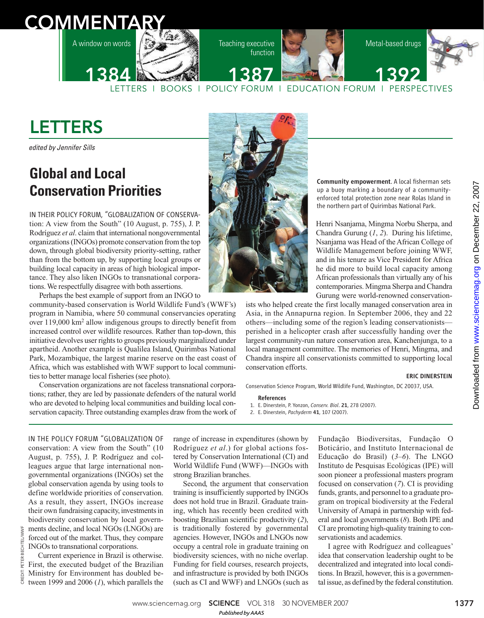# **COMMENTAR**

A window on words



Teaching executive function





LETTERS I BOOKS I POLICY FORUM I EDUCATION FORUM I PERSPECTIVES 1384 1387 24 1392

## LETTERS

edited by Jennifer Sills

## **Global and Local Conservation Priorities**

IN THEIR POLICY FORUM, "GLOBALIZATION OF CONSERVAtion: A view from the South" (10 August, p. 755), J. P. Rodríguez *et al*. claim that international nongovernmental organizations (INGOs) promote conservation from the top down, through global biodiversity priority-setting, rather than from the bottom up, by supporting local groups or building local capacity in areas of high biological importance. They also liken INGOs to transnational corporations. We respectfully disagree with both assertions.

Perhaps the best example of support from an INGO to community-based conservation is World Wildlife Fund's (WWF's) program in Namibia, where 50 communal conservancies operating over 119,000 km<sup>2</sup> allow indigenous groups to directly benefit from increased control over wildlife resources. Rather than top-down, this initiative devolves user rights to groups previously marginalized under apartheid. Another example is Qualilea Island, Quirimbas National Park, Mozambique, the largest marine reserve on the east coast of Africa, which was established with WWF support to local communities to better manage local fisheries (see photo).

Conservation organizations are not faceless transnational corporations; rather, they are led by passionate defenders of the natural world who are devoted to helping local communities and building local conservation capacity. Three outstanding examples draw from the work of



Community empowerment. A local fisherman sets up a buoy marking a boundary of a communityenforced total protection zone near Rolas Island in the northern part of Quirimbas National Park.

Henri Nsanjama, Mingma Norbu Sherpa, and Chandra Gurung (*1*, *2*). During his lifetime, Nsanjama was Head of the African College of Wildlife Management before joining WWF, and in his tenure as Vice President for Africa he did more to build local capacity among African professionals than virtually any of his contemporaries. Mingma Sherpa and Chandra Gurung were world-renowned conservation-

ists who helped create the first locally managed conservation area in Asia, in the Annapurna region. In September 2006, they and 22 others—including some of the region's leading conservationists perished in a helicopter crash after successfully handing over the largest community-run nature conservation area, Kanchenjunga, to a local management committee. The memories of Henri, Mingma, and Chandra inspire all conservationists committed to supporting local conservation efforts.

#### ERIC DINERSTEIN

Conservation Science Program, World Wildlife Fund, Washington, DC 20037, USA.

References

1. E. Dinerstein, P. Yonzon, *Conserv. Biol*. 21, 278 (2007). 2. E. Dinerstein, *Pachyderm* 41, 107 (2007).

IN THE POLICY FORUM "GLOBALIZATION OF conservation: A view from the South" (10 August, p. 755), J. P. Rodríguez and colleagues argue that large international nongovernmental organizations (INGOs) set the global conservation agenda by using tools to define worldwide priorities of conservation. As a result, they assert, INGOs increase their own fundraising capacity, investments in biodiversity conservation by local governments decline, and local NGOs (LNGOs) are forced out of the market. Thus, they compare INGOs to transnational corporations.

Current experience in Brazil is otherwise. First, the executed budget of the Brazilian Ministry for Environment has doubled between 1999 and 2006 (*1*), which parallels the

range of increase in expenditures (shown by Rodríguez *et al*.) for global actions fostered by Conservation International (CI) and World Wildlife Fund (WWF)—INGOs with strong Brazilian branches.

Second, the argument that conservation training is insufficiently supported by INGOs does not hold true in Brazil. Graduate training, which has recently been credited with boosting Brazilian scientific productivity (*2*), is traditionally fostered by governmental agencies. However, INGOs and LNGOs now occupy a central role in graduate training on biodiversity sciences, with no niche overlap. Funding for field courses, research projects, and infrastructure is provided by both INGOs (such as CI and WWF) and LNGOs (such as Fundação Biodiversitas, Fundação O Boticário, and Instituto Internacional de Educação do Brasil) (*3*–*6*). The LNGO Instituto de Pesquisas Ecológicas (IPE) will soon pioneer a professional masters program focused on conservation (*7*). CI is providing funds, grants, and personnel to a graduate program on tropical biodiversity at the Federal University of Amapá in partnership with federal and local governments (*8*). Both IPE and CI are promoting high-quality training to conservationists and academics.

I agree with Rodríguez and colleagues' idea that conservation leadership ought to be decentralized and integrated into local conditions. In Brazil, however, this is a governmental issue, as defined by the federal constitution.

www.sciencemag.org **SCIENCE** VOL 318 30 NOVEMBER 2007 1377 *Published byAAAS*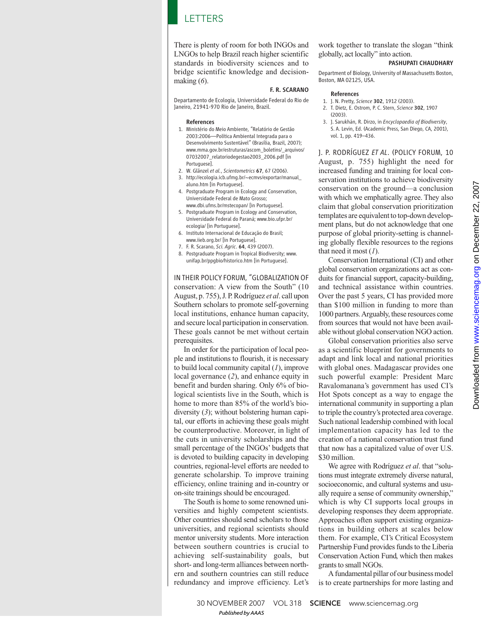### LETTERS

There is plenty of room for both INGOs and LNGOs to help Brazil reach higher scientific standards in biodiversity sciences and to bridge scientific knowledge and decisionmaking (*6*).

#### F. R. SCARANO

Departamento de Ecologia, Universidade Federal do Rio de Janeiro, 21941-970 Rio de Janeiro, Brazil.

#### References

- 1. Ministério do Meio Ambiente, "Relatório de Gestão 2003:2006—Política Ambiental Integrada para o Desenvolvimento Sustentável" (Brasília, Brazil, 2007); www.mma.gov.br/estruturas/ascom\_boletins/\_arquivos/ 07032007\_relatoriodegestao2003\_2006.pdf [in Portuguese].
- 2. W. Glänzel *et al.*, *Scientometrics* 67, 67 (2006). 3. http://ecologia.icb.ufmg.br/~ecmvs/exportar/manual\_ aluno.htm [in Portuguese].
- 4. Postgraduate Program in Ecology and Conservation, Universidade Federal de Mato Grosso; www.dbi.ufms.br/mstecopan/ [in Portuguese].
- 5. Postgraduate Program in Ecology and Conservation, Universidade Federal do Paraná; www.bio.ufpr.br/ ecologia/ [in Portuguese].
- 6. Instituto Internacional de Educação do Brasil; www.iieb.org.br/ [in Portuguese].
- 7. F. R. Scarano, *Sci. Agric*. 64, 439 (2007).
- 8. Postgraduate Program in Tropical Biodiversity; www. unifap.br/ppgbio/historico.htm [in Portuguese].

IN THEIR POLICY FORUM, "GLOBALIZATION OF conservation: A view from the South" (10 August, p. 755), J. P. Rodríguez *et al*. call upon Southern scholars to promote self-governing local institutions, enhance human capacity, and secure local participation in conservation. These goals cannot be met without certain prerequisites.

In order for the participation of local people and institutions to flourish, it is necessary to build local community capital (*1*), improve local governance (*2*), and enhance equity in benefit and burden sharing. Only 6% of biological scientists live in the South, which is home to more than 85% of the world's biodiversity (*3*); without bolstering human capital, our efforts in achieving these goals might be counterproductive. Moreover, in light of the cuts in university scholarships and the small percentage of the INGOs' budgets that is devoted to building capacity in developing countries, regional-level efforts are needed to generate scholarship. To improve training efficiency, online training and in-country or on-site trainings should be encouraged.

The South is home to some renowned universities and highly competent scientists. Other countries should send scholars to those universities, and regional scientists should mentor university students. More interaction between southern countries is crucial to achieving self-sustainability goals, but short- and long-term alliances between northern and southern countries can still reduce redundancy and improve efficiency. Let's

work together to translate the slogan "think globally, act locally" into action.

#### PASHUPATI CHAUDHARY

Department of Biology, University of Massachusetts Boston, Boston, MA 02125, USA.

#### References

- 1. J. N. Pretty, *Science* 302, 1912 (2003).
- 2. T. Dietz, E. Ostrom, P. C. Stern, *Science* 302, 1907 (2003).
- 3. J. Sarukhán, R. Dirzo, in *Encyclopaedia of Biodiversity*, S. A. Levin, Ed. (Academic Press, San Diego, CA, 2001), vol. 1, pp. 419–436.

J. P. RODRÍGUEZ *ET AL*. (POLICY FORUM, 10 August, p. 755) highlight the need for increased funding and training for local conservation institutions to achieve biodiversity conservation on the ground—a conclusion with which we emphatically agree. They also claim that global conservation prioritization templates are equivalent to top-down development plans, but do not acknowledge that one purpose of global priority-setting is channeling globally flexible resources to the regions that need it most (*1*).

Conservation International (CI) and other global conservation organizations act as conduits for financial support, capacity-building, and technical assistance within countries. Over the past 5 years, CI has provided more than \$100 million in funding to more than 1000 partners. Arguably, these resources come from sources that would not have been available without global conservation NGO action.

Global conservation priorities also serve as a scientific blueprint for governments to adapt and link local and national priorities with global ones. Madagascar provides one such powerful example: President Marc Ravalomanana's government has used CI's Hot Spots concept as a way to engage the international community in supporting a plan to triple the country's protected area coverage. Such national leadership combined with local implementation capacity has led to the creation of a national conservation trust fund that now has a capitalized value of over U.S. \$30 million.

We agree with Rodríguez *et al*. that "solutions must integrate extremely diverse natural, socioeconomic, and cultural systems and usually require a sense of community ownership," which is why CI supports local groups in developing responses they deem appropriate. Approaches often support existing organizations in building others at scales below them. For example, CI's Critical Ecosystem Partnership Fund provides funds to the Liberia Conservation Action Fund, which then makes grants to small NGOs.

A fundamental pillar of our business model is to create partnerships for more lasting and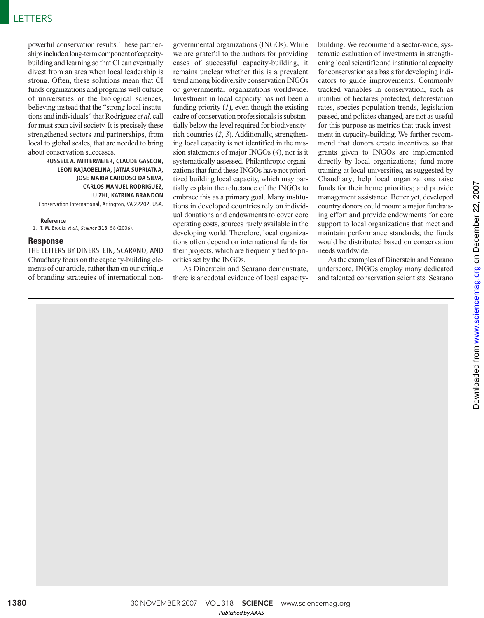powerful conservation results. These partnerships include a long-term component of capacitybuilding and learning so that CI can eventually divest from an area when local leadership is strong. Often, these solutions mean that CI funds organizations and programs well outside of universities or the biological sciences, believing instead that the "strong local institutions and individuals" that Rodríguez *et al*. call for must span civil society. It is precisely these strengthened sectors and partnerships, from local to global scales, that are needed to bring about conservation successes.

RUSSELL A. MITTERMEIER, CLAUDE GASCON, LEON RAJAOBELINA, JATNA SUPRIATNA, JOSE MARIA CARDOSO DA SILVA, CARLOS MANUEL RODRIGUEZ, LU ZHI, KATRINA BRANDON Conservation International, Arlington, VA 22202, USA.

#### Reference

1. T. M. Brooks *et al*., *Science* 313, 58 (2006).

#### **Response**

THE LETTERS BY DINERSTEIN, SCARANO, AND Chaudhary focus on the capacity-building elements of our article, rather than on our critique of branding strategies of international non-

governmental organizations (INGOs). While we are grateful to the authors for providing cases of successful capacity-building, it remains unclear whether this is a prevalent trend among biodiversity conservation INGOs or governmental organizations worldwide. Investment in local capacity has not been a funding priority (*1*), even though the existing cadre of conservation professionals is substantially below the level required for biodiversityrich countries (*2*, *3*). Additionally, strengthening local capacity is not identified in the mission statements of major INGOs (*4*), nor is it systematically assessed. Philanthropic organizations that fund these INGOs have not prioritized building local capacity, which may partially explain the reluctance of the INGOs to embrace this as a primary goal. Many institutions in developed countries rely on individual donations and endowments to cover core operating costs, sources rarely available in the developing world. Therefore, local organizations often depend on international funds for their projects, which are frequently tied to priorities set by the INGOs.

As Dinerstein and Scarano demonstrate, there is anecdotal evidence of local capacitybuilding. We recommend a sector-wide, systematic evaluation of investments in strengthening local scientific and institutional capacity for conservation as a basis for developing indicators to guide improvements. Commonly tracked variables in conservation, such as number of hectares protected, deforestation rates, species population trends, legislation passed, and policies changed, are not as useful for this purpose as metrics that track investment in capacity-building. We further recommend that donors create incentives so that grants given to INGOs are implemented directly by local organizations; fund more training at local universities, as suggested by Chaudhary; help local organizations raise funds for their home priorities; and provide management assistance. Better yet, developed country donors could mount a major fundraising effort and provide endowments for core support to local organizations that meet and maintain performance standards; the funds would be distributed based on conservation needs worldwide.

As the examples of Dinerstein and Scarano underscore, INGOs employ many dedicated and talented conservation scientists. Scarano